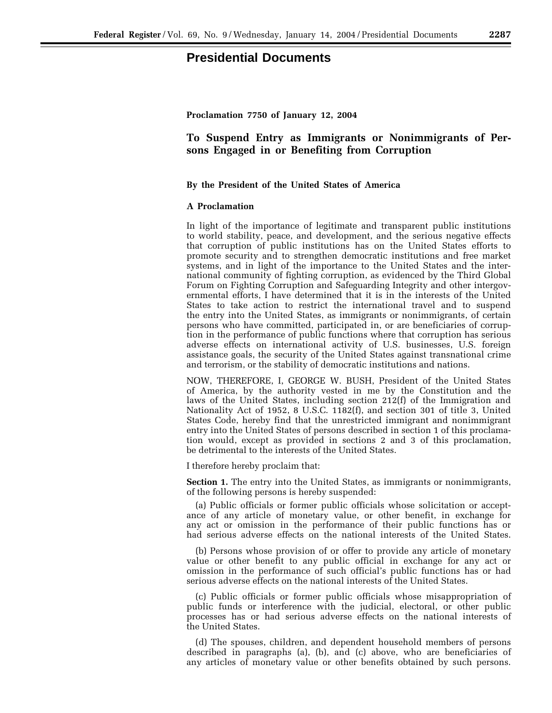## **Presidential Documents**

## **To Suspend Entry as Immigrants or Nonimmigrants of Persons Engaged in or Benefiting from Corruption**

## **By the President of the United States of America**

## **A Proclamation**

In light of the importance of legitimate and transparent public institutions to world stability, peace, and development, and the serious negative effects that corruption of public institutions has on the United States efforts to promote security and to strengthen democratic institutions and free market systems, and in light of the importance to the United States and the international community of fighting corruption, as evidenced by the Third Global Forum on Fighting Corruption and Safeguarding Integrity and other intergovernmental efforts, I have determined that it is in the interests of the United States to take action to restrict the international travel and to suspend the entry into the United States, as immigrants or nonimmigrants, of certain persons who have committed, participated in, or are beneficiaries of corruption in the performance of public functions where that corruption has serious adverse effects on international activity of U.S. businesses, U.S. foreign assistance goals, the security of the United States against transnational crime and terrorism, or the stability of democratic institutions and nations.

NOW, THEREFORE, I, GEORGE W. BUSH, President of the United States of America, by the authority vested in me by the Constitution and the laws of the United States, including section 212(f) of the Immigration and Nationality Act of 1952, 8 U.S.C. 1182(f), and section 301 of title 3, United States Code, hereby find that the unrestricted immigrant and nonimmigrant entry into the United States of persons described in section 1 of this proclamation would, except as provided in sections 2 and 3 of this proclamation, be detrimental to the interests of the United States.

I therefore hereby proclaim that:

**Section 1.** The entry into the United States, as immigrants or nonimmigrants, of the following persons is hereby suspended:

(a) Public officials or former public officials whose solicitation or acceptance of any article of monetary value, or other benefit, in exchange for any act or omission in the performance of their public functions has or had serious adverse effects on the national interests of the United States.

(b) Persons whose provision of or offer to provide any article of monetary value or other benefit to any public official in exchange for any act or omission in the performance of such official's public functions has or had serious adverse effects on the national interests of the United States.

(c) Public officials or former public officials whose misappropriation of public funds or interference with the judicial, electoral, or other public processes has or had serious adverse effects on the national interests of the United States.

(d) The spouses, children, and dependent household members of persons described in paragraphs (a), (b), and (c) above, who are beneficiaries of any articles of monetary value or other benefits obtained by such persons.